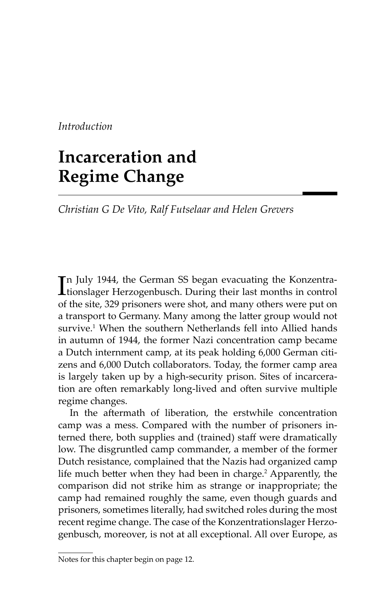*Introduction*

# **Incarceration and Regime Change**

*Christian G De Vito, Ralf Futselaar and Helen Grevers*

In July 1944, the German SS began evacuating the Konzentra-<br>tionslager Herzogenbusch. During their last months in control tionslager Herzogenbusch. During their last months in control of the site, 329 prisoners were shot, and many others were put on a transport to Germany. Many among the latter group would not survive.1 When the southern Netherlands fell into Allied hands in autumn of 1944, the former Nazi concentration camp became a Dutch internment camp, at its peak holding 6,000 German citizens and 6,000 Dutch collaborators. Today, the former camp area is largely taken up by a high-security prison. Sites of incarceration are often remarkably long-lived and often survive multiple regime changes.

In the aftermath of liberation, the erstwhile concentration camp was a mess. Compared with the number of prisoners interned there, both supplies and (trained) staff were dramatically low. The disgruntled camp commander, a member of the former Dutch resistance, complained that the Nazis had organized camp life much better when they had been in charge.<sup>2</sup> Apparently, the comparison did not strike him as strange or inappropriate; the camp had remained roughly the same, even though guards and prisoners, sometimes literally, had switched roles during the most recent regime change. The case of the Konzentrationslager Herzogenbusch, moreover, is not at all exceptional. All over Europe, as

Notes for this chapter begin on page 12.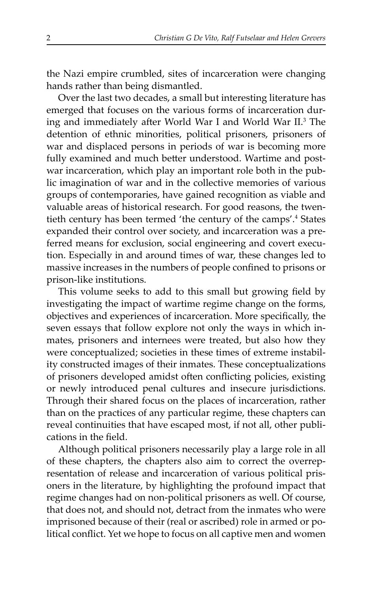the Nazi empire crumbled, sites of incarceration were changing hands rather than being dismantled.

Over the last two decades, a small but interesting literature has emerged that focuses on the various forms of incarceration during and immediately after World War I and World War II.<sup>3</sup> The detention of ethnic minorities, political prisoners, prisoners of war and displaced persons in periods of war is becoming more fully examined and much better understood. Wartime and postwar incarceration, which play an important role both in the public imagination of war and in the collective memories of various groups of contemporaries, have gained recognition as viable and valuable areas of historical research. For good reasons, the twentieth century has been termed 'the century of the camps'.<sup>4</sup> States expanded their control over society, and incarceration was a preferred means for exclusion, social engineering and covert execution. Especially in and around times of war, these changes led to massive increases in the numbers of people confined to prisons or prison-like institutions.

This volume seeks to add to this small but growing field by investigating the impact of wartime regime change on the forms, objectives and experiences of incarceration. More specifically, the seven essays that follow explore not only the ways in which inmates, prisoners and internees were treated, but also how they were conceptualized; societies in these times of extreme instability constructed images of their inmates. These conceptualizations of prisoners developed amidst often conflicting policies, existing or newly introduced penal cultures and insecure jurisdictions. Through their shared focus on the places of incarceration, rather than on the practices of any particular regime, these chapters can reveal continuities that have escaped most, if not all, other publications in the field.

Although political prisoners necessarily play a large role in all of these chapters, the chapters also aim to correct the overrepresentation of release and incarceration of various political prisoners in the literature, by highlighting the profound impact that regime changes had on non-political prisoners as well. Of course, that does not, and should not, detract from the inmates who were imprisoned because of their (real or ascribed) role in armed or political conflict. Yet we hope to focus on all captive men and women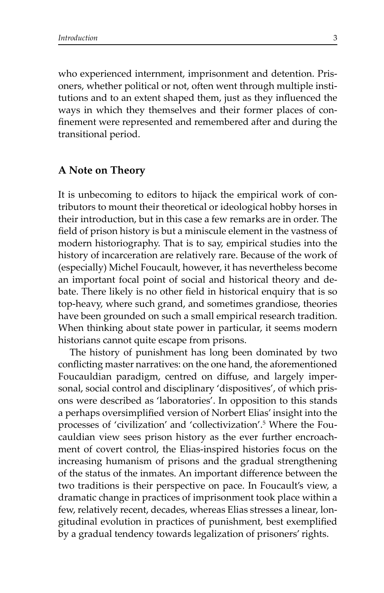who experienced internment, imprisonment and detention. Prisoners, whether political or not, often went through multiple institutions and to an extent shaped them, just as they influenced the ways in which they themselves and their former places of confinement were represented and remembered after and during the transitional period.

#### **A Note on Theory**

It is unbecoming to editors to hijack the empirical work of contributors to mount their theoretical or ideological hobby horses in their introduction, but in this case a few remarks are in order. The field of prison history is but a miniscule element in the vastness of modern historiography. That is to say, empirical studies into the history of incarceration are relatively rare. Because of the work of (especially) Michel Foucault, however, it has nevertheless become an important focal point of social and historical theory and debate. There likely is no other field in historical enquiry that is so top-heavy, where such grand, and sometimes grandiose, theories have been grounded on such a small empirical research tradition. When thinking about state power in particular, it seems modern historians cannot quite escape from prisons.

The history of punishment has long been dominated by two conflicting master narratives: on the one hand, the aforementioned Foucauldian paradigm, centred on diffuse, and largely impersonal, social control and disciplinary 'dispositives', of which prisons were described as 'laboratories'. In opposition to this stands a perhaps oversimplified version of Norbert Elias' insight into the processes of 'civilization' and 'collectivization'.5 Where the Foucauldian view sees prison history as the ever further encroachment of covert control, the Elias-inspired histories focus on the increasing humanism of prisons and the gradual strengthening of the status of the inmates. An important difference between the two traditions is their perspective on pace. In Foucault's view, a dramatic change in practices of imprisonment took place within a few, relatively recent, decades, whereas Elias stresses a linear, longitudinal evolution in practices of punishment, best exemplified by a gradual tendency towards legalization of prisoners' rights.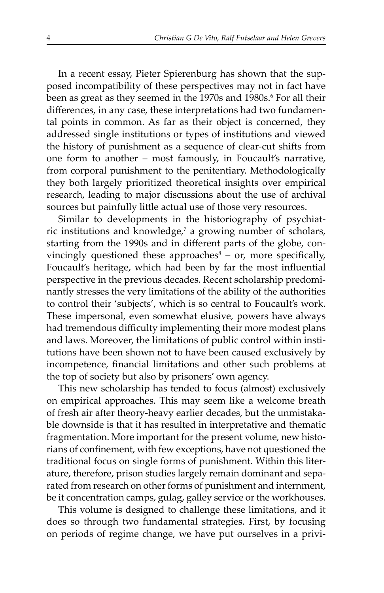In a recent essay, Pieter Spierenburg has shown that the supposed incompatibility of these perspectives may not in fact have been as great as they seemed in the 1970s and 1980s.6 For all their differences, in any case, these interpretations had two fundamental points in common. As far as their object is concerned, they addressed single institutions or types of institutions and viewed the history of punishment as a sequence of clear-cut shifts from one form to another – most famously, in Foucault's narrative, from corporal punishment to the penitentiary. Methodologically they both largely prioritized theoretical insights over empirical research, leading to major discussions about the use of archival sources but painfully little actual use of those very resources.

Similar to developments in the historiography of psychiatric institutions and knowledge,<sup>7</sup> a growing number of scholars, starting from the 1990s and in different parts of the globe, convincingly questioned these approaches $\delta$  – or, more specifically, Foucault's heritage, which had been by far the most influential perspective in the previous decades. Recent scholarship predominantly stresses the very limitations of the ability of the authorities to control their 'subjects', which is so central to Foucault's work. These impersonal, even somewhat elusive, powers have always had tremendous difficulty implementing their more modest plans and laws. Moreover, the limitations of public control within institutions have been shown not to have been caused exclusively by incompetence, financial limitations and other such problems at the top of society but also by prisoners' own agency.

This new scholarship has tended to focus (almost) exclusively on empirical approaches. This may seem like a welcome breath of fresh air after theory-heavy earlier decades, but the unmistakable downside is that it has resulted in interpretative and thematic fragmentation. More important for the present volume, new historians of confinement, with few exceptions, have not questioned the traditional focus on single forms of punishment. Within this literature, therefore, prison studies largely remain dominant and separated from research on other forms of punishment and internment, be it concentration camps, gulag, galley service or the workhouses.

This volume is designed to challenge these limitations, and it does so through two fundamental strategies. First, by focusing on periods of regime change, we have put ourselves in a privi-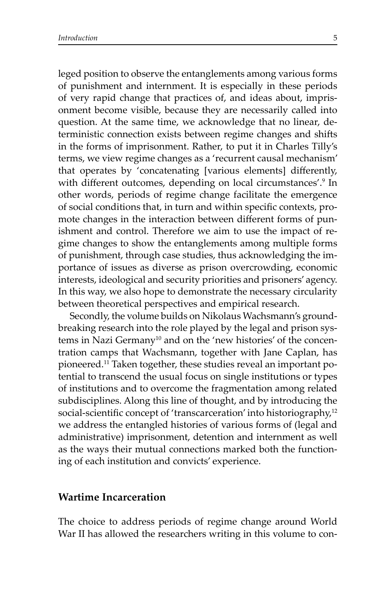leged position to observe the entanglements among various forms of punishment and internment. It is especially in these periods of very rapid change that practices of, and ideas about, imprisonment become visible, because they are necessarily called into question. At the same time, we acknowledge that no linear, deterministic connection exists between regime changes and shifts in the forms of imprisonment. Rather, to put it in Charles Tilly's terms, we view regime changes as a 'recurrent causal mechanism' that operates by 'concatenating [various elements] differently, with different outcomes, depending on local circumstances'.<sup>9</sup> In other words, periods of regime change facilitate the emergence of social conditions that, in turn and within specific contexts, promote changes in the interaction between different forms of punishment and control. Therefore we aim to use the impact of regime changes to show the entanglements among multiple forms of punishment, through case studies, thus acknowledging the importance of issues as diverse as prison overcrowding, economic interests, ideological and security priorities and prisoners' agency. In this way, we also hope to demonstrate the necessary circularity between theoretical perspectives and empirical research.

Secondly, the volume builds on Nikolaus Wachsmann's groundbreaking research into the role played by the legal and prison systems in Nazi Germany<sup>10</sup> and on the 'new histories' of the concentration camps that Wachsmann, together with Jane Caplan, has pioneered.11 Taken together, these studies reveal an important potential to transcend the usual focus on single institutions or types of institutions and to overcome the fragmentation among related subdisciplines. Along this line of thought, and by introducing the social-scientific concept of 'transcarceration' into historiography,<sup>12</sup> we address the entangled histories of various forms of (legal and administrative) imprisonment, detention and internment as well as the ways their mutual connections marked both the functioning of each institution and convicts' experience.

#### **Wartime Incarceration**

The choice to address periods of regime change around World War II has allowed the researchers writing in this volume to con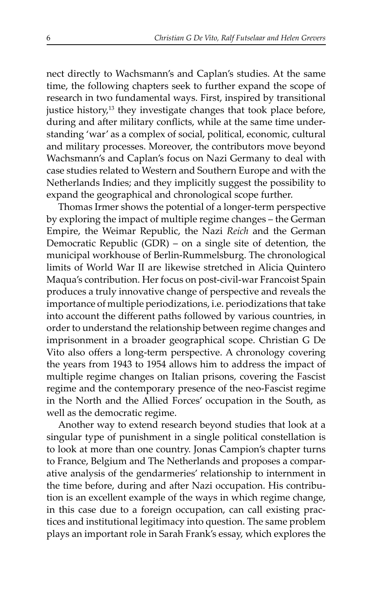nect directly to Wachsmann's and Caplan's studies. At the same time, the following chapters seek to further expand the scope of research in two fundamental ways. First, inspired by transitional justice history,<sup>13</sup> they investigate changes that took place before, during and after military conflicts, while at the same time understanding 'war' as a complex of social, political, economic, cultural and military processes. Moreover, the contributors move beyond Wachsmann's and Caplan's focus on Nazi Germany to deal with case studies related to Western and Southern Europe and with the Netherlands Indies; and they implicitly suggest the possibility to expand the geographical and chronological scope further.

Thomas Irmer shows the potential of a longer-term perspective by exploring the impact of multiple regime changes – the German Empire, the Weimar Republic, the Nazi *Reich* and the German Democratic Republic (GDR) – on a single site of detention, the municipal workhouse of Berlin-Rummelsburg. The chronological limits of World War II are likewise stretched in Alicia Quintero Maqua's contribution. Her focus on post-civil-war Francoist Spain produces a truly innovative change of perspective and reveals the importance of multiple periodizations, i.e. periodizations that take into account the different paths followed by various countries, in order to understand the relationship between regime changes and imprisonment in a broader geographical scope. Christian G De Vito also offers a long-term perspective. A chronology covering the years from 1943 to 1954 allows him to address the impact of multiple regime changes on Italian prisons, covering the Fascist regime and the contemporary presence of the neo-Fascist regime in the North and the Allied Forces' occupation in the South, as well as the democratic regime.

Another way to extend research beyond studies that look at a singular type of punishment in a single political constellation is to look at more than one country. Jonas Campion's chapter turns to France, Belgium and The Netherlands and proposes a comparative analysis of the gendarmeries' relationship to internment in the time before, during and after Nazi occupation. His contribution is an excellent example of the ways in which regime change, in this case due to a foreign occupation, can call existing practices and institutional legitimacy into question. The same problem plays an important role in Sarah Frank's essay, which explores the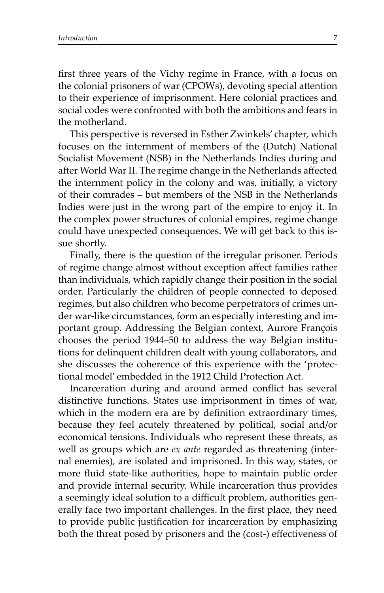first three years of the Vichy regime in France, with a focus on the colonial prisoners of war (CPOWs), devoting special attention to their experience of imprisonment. Here colonial practices and social codes were confronted with both the ambitions and fears in the motherland.

This perspective is reversed in Esther Zwinkels' chapter, which focuses on the internment of members of the (Dutch) National Socialist Movement (NSB) in the Netherlands Indies during and after World War II. The regime change in the Netherlands affected the internment policy in the colony and was, initially, a victory of their comrades – but members of the NSB in the Netherlands Indies were just in the wrong part of the empire to enjoy it. In the complex power structures of colonial empires, regime change could have unexpected consequences. We will get back to this issue shortly.

Finally, there is the question of the irregular prisoner. Periods of regime change almost without exception affect families rather than individuals, which rapidly change their position in the social order. Particularly the children of people connected to deposed regimes, but also children who become perpetrators of crimes under war-like circumstances, form an especially interesting and important group. Addressing the Belgian context, Aurore François chooses the period 1944–50 to address the way Belgian institutions for delinquent children dealt with young collaborators, and she discusses the coherence of this experience with the 'protectional model' embedded in the 1912 Child Protection Act.

Incarceration during and around armed conflict has several distinctive functions. States use imprisonment in times of war, which in the modern era are by definition extraordinary times, because they feel acutely threatened by political, social and/or economical tensions. Individuals who represent these threats, as well as groups which are *ex ante* regarded as threatening (internal enemies), are isolated and imprisoned. In this way, states, or more fluid state-like authorities, hope to maintain public order and provide internal security. While incarceration thus provides a seemingly ideal solution to a difficult problem, authorities generally face two important challenges. In the first place, they need to provide public justification for incarceration by emphasizing both the threat posed by prisoners and the (cost-) effectiveness of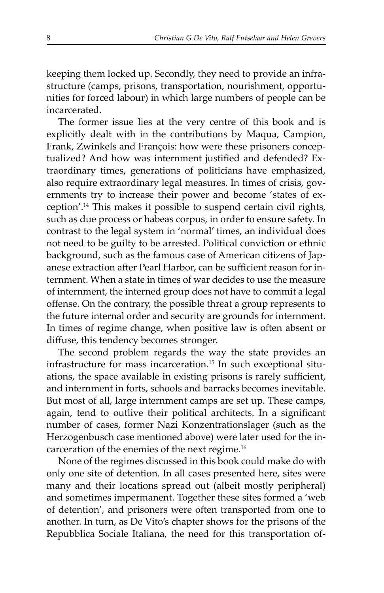keeping them locked up. Secondly, they need to provide an infrastructure (camps, prisons, transportation, nourishment, opportunities for forced labour) in which large numbers of people can be incarcerated.

The former issue lies at the very centre of this book and is explicitly dealt with in the contributions by Maqua, Campion, Frank, Zwinkels and François: how were these prisoners conceptualized? And how was internment justified and defended? Extraordinary times, generations of politicians have emphasized, also require extraordinary legal measures. In times of crisis, governments try to increase their power and become 'states of exception'.14 This makes it possible to suspend certain civil rights, such as due process or habeas corpus, in order to ensure safety. In contrast to the legal system in 'normal' times, an individual does not need to be guilty to be arrested. Political conviction or ethnic background, such as the famous case of American citizens of Japanese extraction after Pearl Harbor, can be sufficient reason for internment. When a state in times of war decides to use the measure of internment, the interned group does not have to commit a legal offense. On the contrary, the possible threat a group represents to the future internal order and security are grounds for internment. In times of regime change, when positive law is often absent or diffuse, this tendency becomes stronger.

The second problem regards the way the state provides an infrastructure for mass incarceration.15 In such exceptional situations, the space available in existing prisons is rarely sufficient, and internment in forts, schools and barracks becomes inevitable. But most of all, large internment camps are set up. These camps, again, tend to outlive their political architects. In a significant number of cases, former Nazi Konzentrationslager (such as the Herzogenbusch case mentioned above) were later used for the incarceration of the enemies of the next regime.16

None of the regimes discussed in this book could make do with only one site of detention. In all cases presented here, sites were many and their locations spread out (albeit mostly peripheral) and sometimes impermanent. Together these sites formed a 'web of detention', and prisoners were often transported from one to another. In turn, as De Vito's chapter shows for the prisons of the Repubblica Sociale Italiana, the need for this transportation of-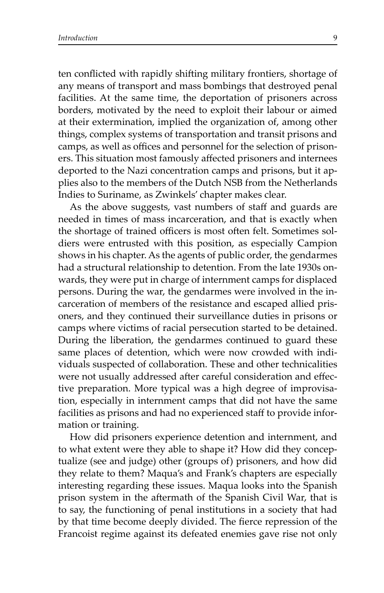ten conflicted with rapidly shifting military frontiers, shortage of any means of transport and mass bombings that destroyed penal facilities. At the same time, the deportation of prisoners across borders, motivated by the need to exploit their labour or aimed at their extermination, implied the organization of, among other things, complex systems of transportation and transit prisons and camps, as well as offices and personnel for the selection of prisoners. This situation most famously affected prisoners and internees deported to the Nazi concentration camps and prisons, but it applies also to the members of the Dutch NSB from the Netherlands Indies to Suriname, as Zwinkels' chapter makes clear.

As the above suggests, vast numbers of staff and guards are needed in times of mass incarceration, and that is exactly when the shortage of trained officers is most often felt. Sometimes soldiers were entrusted with this position, as especially Campion shows in his chapter. As the agents of public order, the gendarmes had a structural relationship to detention. From the late 1930s onwards, they were put in charge of internment camps for displaced persons. During the war, the gendarmes were involved in the incarceration of members of the resistance and escaped allied prisoners, and they continued their surveillance duties in prisons or camps where victims of racial persecution started to be detained. During the liberation, the gendarmes continued to guard these same places of detention, which were now crowded with individuals suspected of collaboration. These and other technicalities were not usually addressed after careful consideration and effective preparation. More typical was a high degree of improvisation, especially in internment camps that did not have the same facilities as prisons and had no experienced staff to provide information or training.

How did prisoners experience detention and internment, and to what extent were they able to shape it? How did they conceptualize (see and judge) other (groups of) prisoners, and how did they relate to them? Maqua's and Frank's chapters are especially interesting regarding these issues. Maqua looks into the Spanish prison system in the aftermath of the Spanish Civil War, that is to say, the functioning of penal institutions in a society that had by that time become deeply divided. The fierce repression of the Francoist regime against its defeated enemies gave rise not only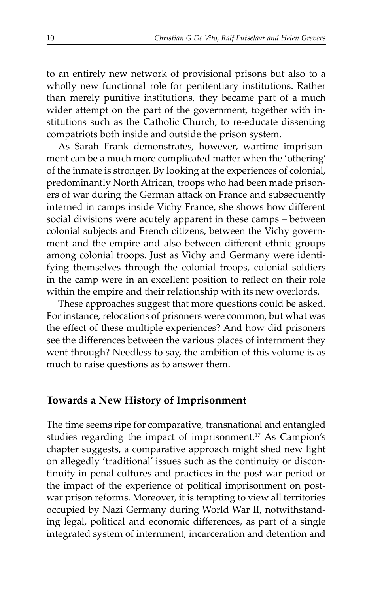to an entirely new network of provisional prisons but also to a wholly new functional role for penitentiary institutions. Rather than merely punitive institutions, they became part of a much wider attempt on the part of the government, together with institutions such as the Catholic Church, to re-educate dissenting compatriots both inside and outside the prison system.

As Sarah Frank demonstrates, however, wartime imprisonment can be a much more complicated matter when the 'othering' of the inmate is stronger. By looking at the experiences of colonial, predominantly North African, troops who had been made prisoners of war during the German attack on France and subsequently interned in camps inside Vichy France, she shows how different social divisions were acutely apparent in these camps – between colonial subjects and French citizens, between the Vichy government and the empire and also between different ethnic groups among colonial troops. Just as Vichy and Germany were identifying themselves through the colonial troops, colonial soldiers in the camp were in an excellent position to reflect on their role within the empire and their relationship with its new overlords.

These approaches suggest that more questions could be asked. For instance, relocations of prisoners were common, but what was the effect of these multiple experiences? And how did prisoners see the differences between the various places of internment they went through? Needless to say, the ambition of this volume is as much to raise questions as to answer them.

### **Towards a New History of Imprisonment**

The time seems ripe for comparative, transnational and entangled studies regarding the impact of imprisonment.17 As Campion's chapter suggests, a comparative approach might shed new light on allegedly 'traditional' issues such as the continuity or discontinuity in penal cultures and practices in the post-war period or the impact of the experience of political imprisonment on postwar prison reforms. Moreover, it is tempting to view all territories occupied by Nazi Germany during World War II, notwithstanding legal, political and economic differences, as part of a single integrated system of internment, incarceration and detention and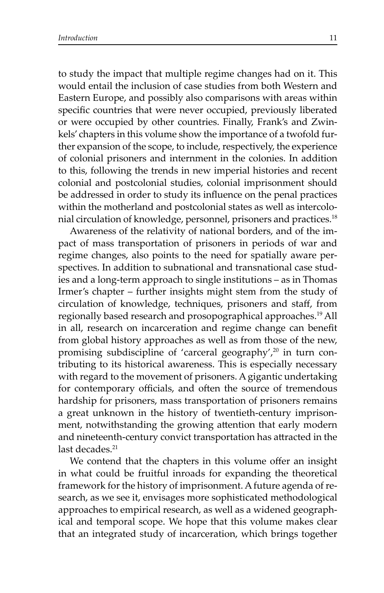to study the impact that multiple regime changes had on it. This would entail the inclusion of case studies from both Western and Eastern Europe, and possibly also comparisons with areas within specific countries that were never occupied, previously liberated or were occupied by other countries. Finally, Frank's and Zwinkels' chapters in this volume show the importance of a twofold further expansion of the scope, to include, respectively, the experience of colonial prisoners and internment in the colonies. In addition to this, following the trends in new imperial histories and recent colonial and postcolonial studies, colonial imprisonment should be addressed in order to study its influence on the penal practices within the motherland and postcolonial states as well as intercolonial circulation of knowledge, personnel, prisoners and practices.18

Awareness of the relativity of national borders, and of the impact of mass transportation of prisoners in periods of war and regime changes, also points to the need for spatially aware perspectives. In addition to subnational and transnational case studies and a long-term approach to single institutions – as in Thomas Irmer's chapter – further insights might stem from the study of circulation of knowledge, techniques, prisoners and staff, from regionally based research and prosopographical approaches.19 All in all, research on incarceration and regime change can benefit from global history approaches as well as from those of the new, promising subdiscipline of 'carceral geography',<sup>20</sup> in turn contributing to its historical awareness. This is especially necessary with regard to the movement of prisoners. A gigantic undertaking for contemporary officials, and often the source of tremendous hardship for prisoners, mass transportation of prisoners remains a great unknown in the history of twentieth-century imprisonment, notwithstanding the growing attention that early modern and nineteenth-century convict transportation has attracted in the last decades.<sup>21</sup>

We contend that the chapters in this volume offer an insight in what could be fruitful inroads for expanding the theoretical framework for the history of imprisonment. A future agenda of research, as we see it, envisages more sophisticated methodological approaches to empirical research, as well as a widened geographical and temporal scope. We hope that this volume makes clear that an integrated study of incarceration, which brings together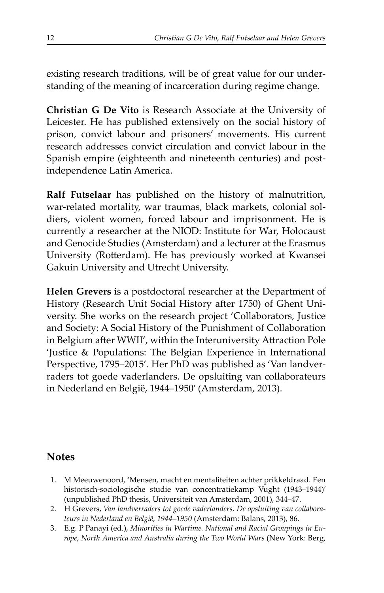existing research traditions, will be of great value for our understanding of the meaning of incarceration during regime change.

**Christian G De Vito** is Research Associate at the University of Leicester. He has published extensively on the social history of prison, convict labour and prisoners' movements. His current research addresses convict circulation and convict labour in the Spanish empire (eighteenth and nineteenth centuries) and postindependence Latin America.

**Ralf Futselaar** has published on the history of malnutrition, war-related mortality, war traumas, black markets, colonial soldiers, violent women, forced labour and imprisonment. He is currently a researcher at the NIOD: Institute for War, Holocaust and Genocide Studies (Amsterdam) and a lecturer at the Erasmus University (Rotterdam). He has previously worked at Kwansei Gakuin University and Utrecht University.

**Helen Grevers** is a postdoctoral researcher at the Department of History (Research Unit Social History after 1750) of Ghent University. She works on the research project 'Collaborators, Justice and Society: A Social History of the Punishment of Collaboration in Belgium after WWII', within the Interuniversity Attraction Pole 'Justice & Populations: The Belgian Experience in International Perspective, 1795–2015'. Her PhD was published as 'Van landverraders tot goede vaderlanders. De opsluiting van collaborateurs in Nederland en België, 1944–1950' (Amsterdam, 2013).

## **Notes**

- 1. M Meeuwenoord, 'Mensen, macht en mentaliteiten achter prikkeldraad. Een historisch-sociologische studie van concentratiekamp Vught (1943–1944)' (unpublished PhD thesis, Universiteit van Amsterdam, 2001), 344–47.
- 2. H Grevers, *Van landverraders tot goede vaderlanders. De opsluiting van collaborateurs in Nederland en België, 1944–1950* (Amsterdam: Balans, 2013), 86.
- 3. E.g. P Panayi (ed.), *Minorities in Wartime. National and Racial Groupings in Europe, North America and Australia during the Two World Wars* (New York: Berg,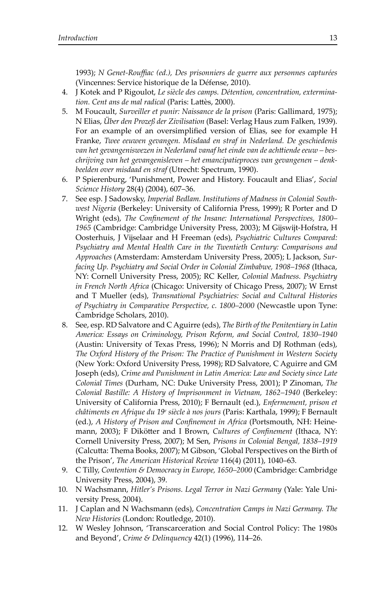1993); *N Genet-Rouffiac (ed.), Des prisonniers de guerre aux personnes capturées* (Vincennes: Service historique de la Défense, 2010).

- 4. J Kotek and P Rigoulot, *Le siècle des camps. Détention, concentration, extermination. Cent ans de mal radical* (Paris: Lattès, 2000).
- 5. M Foucault, *Surveiller et punir: Naissance de la prison* (Paris: Gallimard, 1975); N Elias, *Über den Prozeß der Zivilisation* (Basel: Verlag Haus zum Falken, 1939). For an example of an oversimplified version of Elias, see for example H Franke, *Twee eeuwen gevangen. Misdaad en straf in Nederland. De geschiedenis*  van het gevangeniswezen in Nederland vanaf het einde van de achttiende eeuw – bes*chrij ving van het gevangenisleven – het emancipatieproces van gevangenen – denkbeelden over misdaad en straf* (Utrecht: Spectrum, 1990).
- 6. P Spierenburg, 'Punishment, Power and History. Foucault and Elias', *Social Science History* 28(4) (2004), 607–36.
- 7. See esp. J Sadowsky, *Imperial Bedlam. Institutions of Madness in Colonial Southwest Nigeria* (Berkeley: University of California Press, 1999); R Porter and D Wright (eds), *The Confinement of the Insane: International Perspectives*, 1800-1965 (Cambridge: Cambridge University Press, 2003); M Gijswijt-Hofstra, H Oosterhuis, J Vijselaar and H Freeman (eds), *Psychiatric Cultures Compared: Psychiatry and Mental Health Care in the Twentieth Century: Comparisons and Approaches* (Amsterdam: Amsterdam University Press, 2005); L Jackson, *Surfacing Up. Psychiatry and Social Order in Colonial Zimbabwe, 1908–1968* (Ithaca, NY: Cornell University Press, 2005); RC Keller, *Colonial Madness. Psychiatry in French North Africa* (Chicago: University of Chicago Press, 2007); W Ernst and T Mueller (eds), *Transnational Psychiatries: Social and Cultural Histories of Psychiatry in Comparative Perspective, c. 1800–2000* (Newcastle upon Tyne: Cambridge Scholars, 2010).
- 8. See, esp. RD Salvatore and C Aguirre (eds), *The Birth of the Penitentiary in Latin America: Essays on Criminology, Prison Reform, and Social Control, 1830–1940* (Austin: University of Texas Press, 1996); N Morris and DJ Rothman (eds), *The Oxford History of the Prison: The Practice of Punishment in Western Society* (New York: Oxford University Press, 1998); RD Salvatore, C Aguirre and GM Joseph (eds), *Crime and Punishment in Latin America: Law and Society since Late Colonial Times* (Durham, NC: Duke University Press, 2001); P Zinoman, *The Colonial Bastille: A History of Imprisonment in Vietnam, 1862–1940* (Berkeley: University of California Press, 2010); F Bernault (ed.), *Enfermement, prison et châtiments en Afrique du 19e siècle à nos jours* (Paris: Karthala, 1999); F Bernault (ed.), *A History of Prison and Confinement in Africa* (Portsmouth, NH: Heinemann, 2003); F Dikötter and I Brown, *Cultures of Confinement* (Ithaca, NY: Cornell University Press, 2007); M Sen, *Prisons in Colonial Bengal, 1838–1919* (Calcutta: Thema Books, 2007); M Gibson, 'Global Perspectives on the Birth of the Prison', *The American Historical Review* 116(4) (2011), 1040–63.
- 9. C Tilly, *Contention & Democracy in Europe, 1650–2000* (Cambridge: Cambridge University Press, 2004), 39.
- 10. N Wachsmann, *Hitler's Prisons. Legal Terror in Nazi Germany* (Yale: Yale University Press, 2004).
- 11. J Caplan and N Wach smann (eds), *Concentration Camps in Nazi Germany. The New Histories* (London: Routledge, 2010).
- 12. W Wesley Johnson, 'Transcarceration and Social Control Policy: The 1980s and Beyond', *Crime & Delinquency* 42(1) (1996), 114–26.